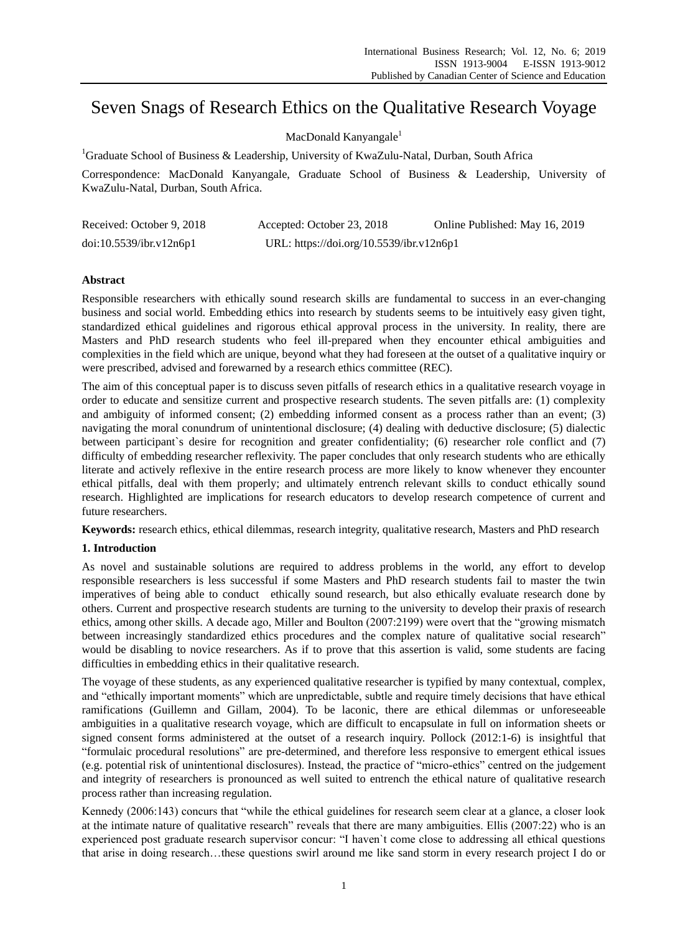# Seven Snags of Research Ethics on the Qualitative Research Voyage

## MacDonald Kanyangale<sup>1</sup>

<sup>1</sup>Graduate School of Business & Leadership, University of KwaZulu-Natal, Durban, South Africa

Correspondence: MacDonald Kanyangale, Graduate School of Business & Leadership, University of KwaZulu-Natal, Durban, South Africa.

| Received: October 9, 2018 | Accepted: October 23, 2018               | Online Published: May 16, 2019 |
|---------------------------|------------------------------------------|--------------------------------|
| doi:10.5539/ibr.v12n6p1   | URL: https://doi.org/10.5539/ibr.v12n6p1 |                                |

# **Abstract**

Responsible researchers with ethically sound research skills are fundamental to success in an ever-changing business and social world. Embedding ethics into research by students seems to be intuitively easy given tight, standardized ethical guidelines and rigorous ethical approval process in the university. In reality, there are Masters and PhD research students who feel ill-prepared when they encounter ethical ambiguities and complexities in the field which are unique, beyond what they had foreseen at the outset of a qualitative inquiry or were prescribed, advised and forewarned by a research ethics committee (REC).

The aim of this conceptual paper is to discuss seven pitfalls of research ethics in a qualitative research voyage in order to educate and sensitize current and prospective research students. The seven pitfalls are: (1) complexity and ambiguity of informed consent; (2) embedding informed consent as a process rather than an event; (3) navigating the moral conundrum of unintentional disclosure; (4) dealing with deductive disclosure; (5) dialectic between participant`s desire for recognition and greater confidentiality; (6) researcher role conflict and (7) difficulty of embedding researcher reflexivity. The paper concludes that only research students who are ethically literate and actively reflexive in the entire research process are more likely to know whenever they encounter ethical pitfalls, deal with them properly; and ultimately entrench relevant skills to conduct ethically sound research. Highlighted are implications for research educators to develop research competence of current and future researchers.

**Keywords:** research ethics, ethical dilemmas, research integrity, qualitative research, Masters and PhD research

# **1. Introduction**

As novel and sustainable solutions are required to address problems in the world, any effort to develop responsible researchers is less successful if some Masters and PhD research students fail to master the twin imperatives of being able to conduct ethically sound research, but also ethically evaluate research done by others. Current and prospective research students are turning to the university to develop their praxis of research ethics, among other skills. A decade ago, Miller and Boulton (2007:2199) were overt that the "growing mismatch between increasingly standardized ethics procedures and the complex nature of qualitative social research" would be disabling to novice researchers. As if to prove that this assertion is valid, some students are facing difficulties in embedding ethics in their qualitative research.

The voyage of these students, as any experienced qualitative researcher is typified by many contextual, complex, and "ethically important moments" which are unpredictable, subtle and require timely decisions that have ethical ramifications (Guillemn and Gillam, 2004). To be laconic, there are ethical dilemmas or unforeseeable ambiguities in a qualitative research voyage, which are difficult to encapsulate in full on information sheets or signed consent forms administered at the outset of a research inquiry. Pollock (2012:1-6) is insightful that "formulaic procedural resolutions" are pre-determined, and therefore less responsive to emergent ethical issues (e.g. potential risk of unintentional disclosures). Instead, the practice of "micro-ethics" centred on the judgement and integrity of researchers is pronounced as well suited to entrench the ethical nature of qualitative research process rather than increasing regulation.

Kennedy (2006:143) concurs that "while the ethical guidelines for research seem clear at a glance, a closer look at the intimate nature of qualitative research" reveals that there are many ambiguities. Ellis (2007:22) who is an experienced post graduate research supervisor concur: "I haven`t come close to addressing all ethical questions that arise in doing research…these questions swirl around me like sand storm in every research project I do or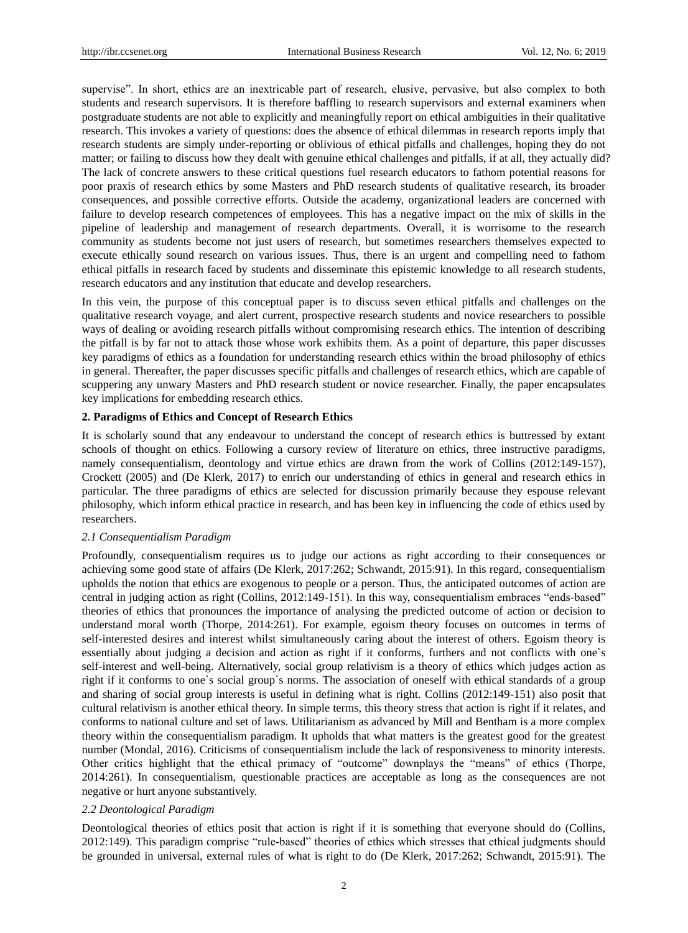supervise". In short, ethics are an inextricable part of research, elusive, pervasive, but also complex to both students and research supervisors. It is therefore baffling to research supervisors and external examiners when postgraduate students are not able to explicitly and meaningfully report on ethical ambiguities in their qualitative research. This invokes a variety of questions: does the absence of ethical dilemmas in research reports imply that research students are simply under-reporting or oblivious of ethical pitfalls and challenges, hoping they do not matter; or failing to discuss how they dealt with genuine ethical challenges and pitfalls, if at all, they actually did? The lack of concrete answers to these critical questions fuel research educators to fathom potential reasons for poor praxis of research ethics by some Masters and PhD research students of qualitative research, its broader consequences, and possible corrective efforts. Outside the academy, organizational leaders are concerned with failure to develop research competences of employees. This has a negative impact on the mix of skills in the pipeline of leadership and management of research departments. Overall, it is worrisome to the research community as students become not just users of research, but sometimes researchers themselves expected to execute ethically sound research on various issues. Thus, there is an urgent and compelling need to fathom ethical pitfalls in research faced by students and disseminate this epistemic knowledge to all research students, research educators and any institution that educate and develop researchers.

In this vein, the purpose of this conceptual paper is to discuss seven ethical pitfalls and challenges on the qualitative research voyage, and alert current, prospective research students and novice researchers to possible ways of dealing or avoiding research pitfalls without compromising research ethics. The intention of describing the pitfall is by far not to attack those whose work exhibits them. As a point of departure, this paper discusses key paradigms of ethics as a foundation for understanding research ethics within the broad philosophy of ethics in general. Thereafter, the paper discusses specific pitfalls and challenges of research ethics, which are capable of scuppering any unwary Masters and PhD research student or novice researcher. Finally, the paper encapsulates key implications for embedding research ethics.

## **2. Paradigms of Ethics and Concept of Research Ethics**

It is scholarly sound that any endeavour to understand the concept of research ethics is buttressed by extant schools of thought on ethics. Following a cursory review of literature on ethics, three instructive paradigms, namely consequentialism, deontology and virtue ethics are drawn from the work of Collins (2012:149-157), Crockett (2005) and (De Klerk, 2017) to enrich our understanding of ethics in general and research ethics in particular. The three paradigms of ethics are selected for discussion primarily because they espouse relevant philosophy, which inform ethical practice in research, and has been key in influencing the code of ethics used by researchers.

#### *2.1 Consequentialism Paradigm*

Profoundly, consequentialism requires us to judge our actions as right according to their consequences or achieving some good state of affairs (De Klerk, 2017:262; Schwandt, 2015:91). In this regard, consequentialism upholds the notion that ethics are exogenous to people or a person. Thus, the anticipated outcomes of action are central in judging action as right (Collins, 2012:149-151). In this way, consequentialism embraces "ends-based" theories of ethics that pronounces the importance of analysing the predicted outcome of action or decision to understand moral worth (Thorpe, 2014:261). For example, egoism theory focuses on outcomes in terms of self-interested desires and interest whilst simultaneously caring about the interest of others. Egoism theory is essentially about judging a decision and action as right if it conforms, furthers and not conflicts with one`s self-interest and well-being. Alternatively, social group relativism is a theory of ethics which judges action as right if it conforms to one`s social group`s norms. The association of oneself with ethical standards of a group and sharing of social group interests is useful in defining what is right. Collins (2012:149-151) also posit that cultural relativism is another ethical theory. In simple terms, this theory stress that action is right if it relates, and conforms to national culture and set of laws. Utilitarianism as advanced by Mill and Bentham is a more complex theory within the consequentialism paradigm. It upholds that what matters is the greatest good for the greatest number (Mondal, 2016). Criticisms of consequentialism include the lack of responsiveness to minority interests. Other critics highlight that the ethical primacy of "outcome" downplays the "means" of ethics (Thorpe, 2014:261). In consequentialism, questionable practices are acceptable as long as the consequences are not negative or hurt anyone substantively.

## *2.2 Deontological Paradigm*

Deontological theories of ethics posit that action is right if it is something that everyone should do (Collins, 2012:149). This paradigm comprise "rule-based" theories of ethics which stresses that ethical judgments should be grounded in universal, external rules of what is right to do (De Klerk, 2017:262; Schwandt, 2015:91). The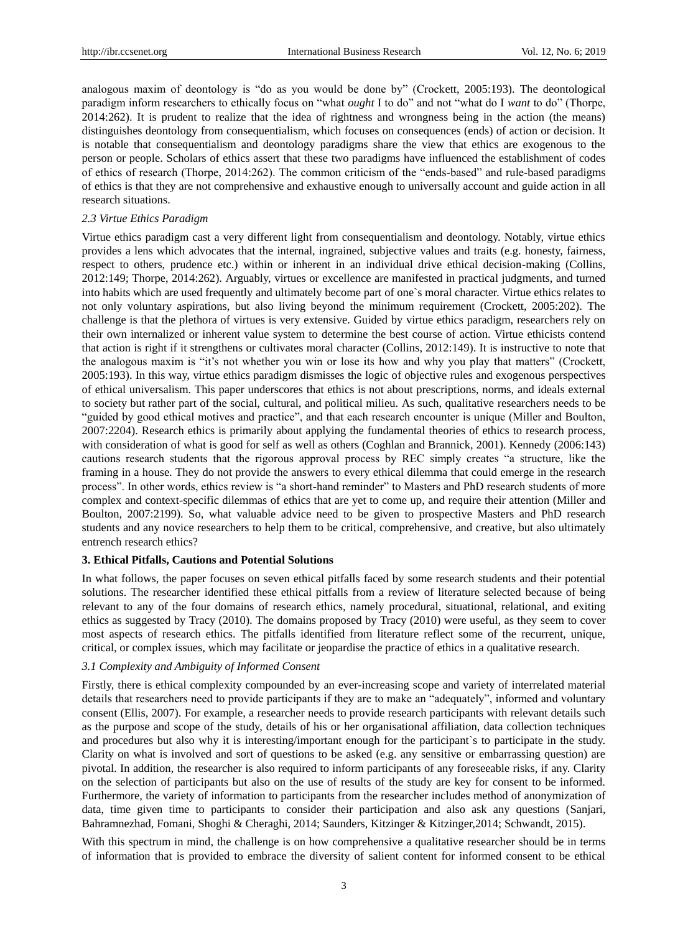analogous maxim of deontology is "do as you would be done by" (Crockett, 2005:193). The deontological paradigm inform researchers to ethically focus on "what *ought* I to do" and not "what do I *want* to do" (Thorpe, 2014:262). It is prudent to realize that the idea of rightness and wrongness being in the action (the means) distinguishes deontology from consequentialism, which focuses on consequences (ends) of action or decision. It is notable that consequentialism and deontology paradigms share the view that ethics are exogenous to the person or people. Scholars of ethics assert that these two paradigms have influenced the establishment of codes of ethics of research (Thorpe, 2014:262). The common criticism of the "ends-based" and rule-based paradigms of ethics is that they are not comprehensive and exhaustive enough to universally account and guide action in all research situations.

#### *2.3 Virtue Ethics Paradigm*

Virtue ethics paradigm cast a very different light from consequentialism and deontology. Notably, virtue ethics provides a lens which advocates that the internal, ingrained, subjective values and traits (e.g. honesty, fairness, respect to others, prudence etc.) within or inherent in an individual drive ethical decision-making (Collins, 2012:149; Thorpe, 2014:262). Arguably, virtues or excellence are manifested in practical judgments, and turned into habits which are used frequently and ultimately become part of one`s moral character. Virtue ethics relates to not only voluntary aspirations, but also living beyond the minimum requirement (Crockett, 2005:202). The challenge is that the plethora of virtues is very extensive. Guided by virtue ethics paradigm, researchers rely on their own internalized or inherent value system to determine the best course of action. Virtue ethicists contend that action is right if it strengthens or cultivates moral character (Collins, 2012:149). It is instructive to note that the analogous maxim is "it"s not whether you win or lose its how and why you play that matters" (Crockett, 2005:193). In this way, virtue ethics paradigm dismisses the logic of objective rules and exogenous perspectives of ethical universalism. This paper underscores that ethics is not about prescriptions, norms, and ideals external to society but rather part of the social, cultural, and political milieu. As such, qualitative researchers needs to be "guided by good ethical motives and practice", and that each research encounter is unique (Miller and Boulton, 2007:2204). Research ethics is primarily about applying the fundamental theories of ethics to research process, with consideration of what is good for self as well as others (Coghlan and Brannick, 2001). Kennedy (2006:143) cautions research students that the rigorous approval process by REC simply creates "a structure, like the framing in a house. They do not provide the answers to every ethical dilemma that could emerge in the research process". In other words, ethics review is "a short-hand reminder" to Masters and PhD research students of more complex and context-specific dilemmas of ethics that are yet to come up, and require their attention (Miller and Boulton, 2007:2199). So, what valuable advice need to be given to prospective Masters and PhD research students and any novice researchers to help them to be critical, comprehensive, and creative, but also ultimately entrench research ethics?

## **3. Ethical Pitfalls, Cautions and Potential Solutions**

In what follows, the paper focuses on seven ethical pitfalls faced by some research students and their potential solutions. The researcher identified these ethical pitfalls from a review of literature selected because of being relevant to any of the four domains of research ethics, namely procedural, situational, relational, and exiting ethics as suggested by Tracy (2010). The domains proposed by Tracy (2010) were useful, as they seem to cover most aspects of research ethics. The pitfalls identified from literature reflect some of the recurrent, unique, critical, or complex issues, which may facilitate or jeopardise the practice of ethics in a qualitative research.

### *3.1 Complexity and Ambiguity of Informed Consent*

Firstly, there is ethical complexity compounded by an ever-increasing scope and variety of interrelated material details that researchers need to provide participants if they are to make an "adequately", informed and voluntary consent (Ellis, 2007). For example, a researcher needs to provide research participants with relevant details such as the purpose and scope of the study, details of his or her organisational affiliation, data collection techniques and procedures but also why it is interesting/important enough for the participant`s to participate in the study. Clarity on what is involved and sort of questions to be asked (e.g. any sensitive or embarrassing question) are pivotal. In addition, the researcher is also required to inform participants of any foreseeable risks, if any. Clarity on the selection of participants but also on the use of results of the study are key for consent to be informed. Furthermore, the variety of information to participants from the researcher includes method of anonymization of data, time given time to participants to consider their participation and also ask any questions [\(Sanjari,](https://www.ncbi.nlm.nih.gov/pubmed/?term=Sanjari%20M%5BAuthor%5D&cauthor=true&cauthor_uid=25512833) [Bahramnezhad,](https://www.ncbi.nlm.nih.gov/pubmed/?term=Bahramnezhad%20F%5BAuthor%5D&cauthor=true&cauthor_uid=25512833) [Fomani,](https://www.ncbi.nlm.nih.gov/pubmed/?term=Fomani%20FK%5BAuthor%5D&cauthor=true&cauthor_uid=25512833) [Shoghi](https://www.ncbi.nlm.nih.gov/pubmed/?term=Shoghi%20M%5BAuthor%5D&cauthor=true&cauthor_uid=25512833) & Cheraghi, 2014; Saunders, Kitzinger & Kitzinger,2014; Schwandt, 2015).

With this spectrum in mind, the challenge is on how comprehensive a qualitative researcher should be in terms of information that is provided to embrace the diversity of salient content for informed consent to be ethical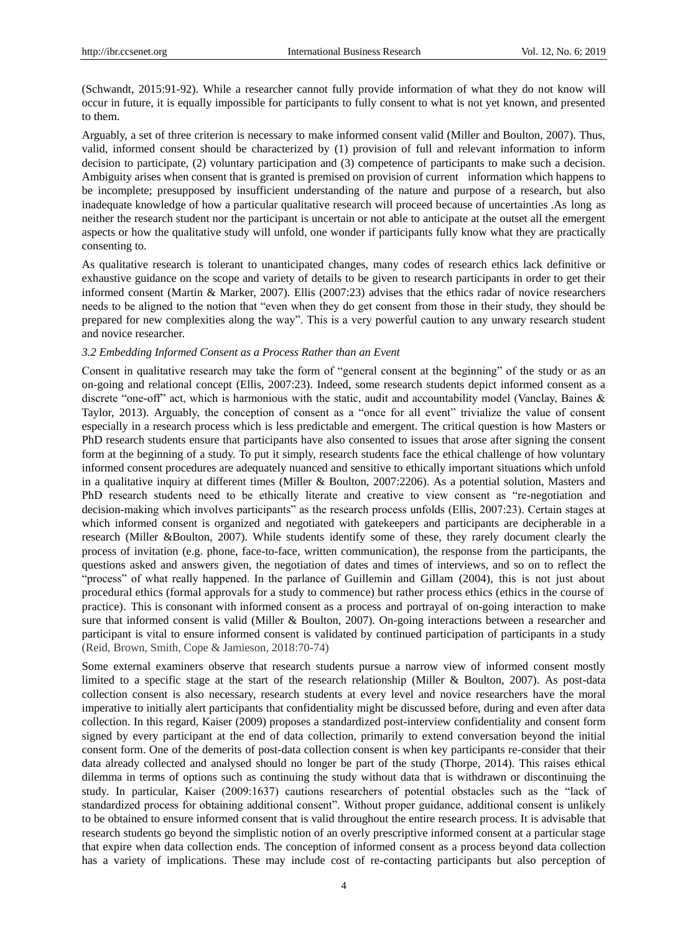(Schwandt, 2015:91-92). While a researcher cannot fully provide information of what they do not know will occur in future, it is equally impossible for participants to fully consent to what is not yet known, and presented to them.

Arguably, a set of three criterion is necessary to make informed consent valid (Miller and Boulton, 2007). Thus, valid, informed consent should be characterized by (1) provision of full and relevant information to inform decision to participate, (2) voluntary participation and (3) competence of participants to make such a decision. Ambiguity arises when consent that is granted is premised on provision of current information which happens to be incomplete; presupposed by insufficient understanding of the nature and purpose of a research, but also inadequate knowledge of how a particular qualitative research will proceed because of uncertainties .As long as neither the research student nor the participant is uncertain or not able to anticipate at the outset all the emergent aspects or how the qualitative study will unfold, one wonder if participants fully know what they are practically consenting to.

As qualitative research is tolerant to unanticipated changes, many codes of research ethics lack definitive or exhaustive guidance on the scope and variety of details to be given to research participants in order to get their informed consent (Martin & Marker, 2007). Ellis (2007:23) advises that the ethics radar of novice researchers needs to be aligned to the notion that "even when they do get consent from those in their study, they should be prepared for new complexities along the way". This is a very powerful caution to any unwary research student and novice researcher.

#### *3.2 Embedding Informed Consent as a Process Rather than an Event*

Consent in qualitative research may take the form of "general consent at the beginning" of the study or as an on-going and relational concept (Ellis, 2007:23). Indeed, some research students depict informed consent as a discrete "one-off" act, which is harmonious with the static, audit and accountability model (Vanclay, Baines & Taylor, 2013). Arguably, the conception of consent as a "once for all event" trivialize the value of consent especially in a research process which is less predictable and emergent. The critical question is how Masters or PhD research students ensure that participants have also consented to issues that arose after signing the consent form at the beginning of a study. To put it simply, research students face the ethical challenge of how voluntary informed consent procedures are adequately nuanced and sensitive to ethically important situations which unfold in a qualitative inquiry at different times (Miller & Boulton, 2007:2206). As a potential solution, Masters and PhD research students need to be ethically literate and creative to view consent as "re-negotiation and decision-making which involves participants" as the research process unfolds (Ellis, 2007:23). Certain stages at which informed consent is organized and negotiated with gatekeepers and participants are decipherable in a research (Miller &Boulton, 2007). While students identify some of these, they rarely document clearly the process of invitation (e.g. phone, face-to-face, written communication), the response from the participants, the questions asked and answers given, the negotiation of dates and times of interviews, and so on to reflect the "process" of what really happened. In the parlance of Guillemin and Gillam (2004), this is not just about procedural ethics (formal approvals for a study to commence) but rather process ethics (ethics in the course of practice). This is consonant with informed consent as a process and portrayal of on-going interaction to make sure that informed consent is valid (Miller & Boulton, 2007). On-going interactions between a researcher and participant is vital to ensure informed consent is validated by continued participation of participants in a study (Reid, Brown, Smith, Cope & Jamieson, 2018:70-74)

Some external examiners observe that research students pursue a narrow view of informed consent mostly limited to a specific stage at the start of the research relationship (Miller & Boulton, 2007). As post-data collection consent is also necessary, research students at every level and novice researchers have the moral imperative to initially alert participants that confidentiality might be discussed before, during and even after data collection. In this regard, Kaiser (2009) proposes a standardized post-interview confidentiality and consent form signed by every participant at the end of data collection, primarily to extend conversation beyond the initial consent form. One of the demerits of post-data collection consent is when key participants re-consider that their data already collected and analysed should no longer be part of the study (Thorpe, 2014). This raises ethical dilemma in terms of options such as continuing the study without data that is withdrawn or discontinuing the study. In particular, Kaiser (2009:1637) cautions researchers of potential obstacles such as the "lack of standardized process for obtaining additional consent". Without proper guidance, additional consent is unlikely to be obtained to ensure informed consent that is valid throughout the entire research process. It is advisable that research students go beyond the simplistic notion of an overly prescriptive informed consent at a particular stage that expire when data collection ends. The conception of informed consent as a process beyond data collection has a variety of implications. These may include cost of re-contacting participants but also perception of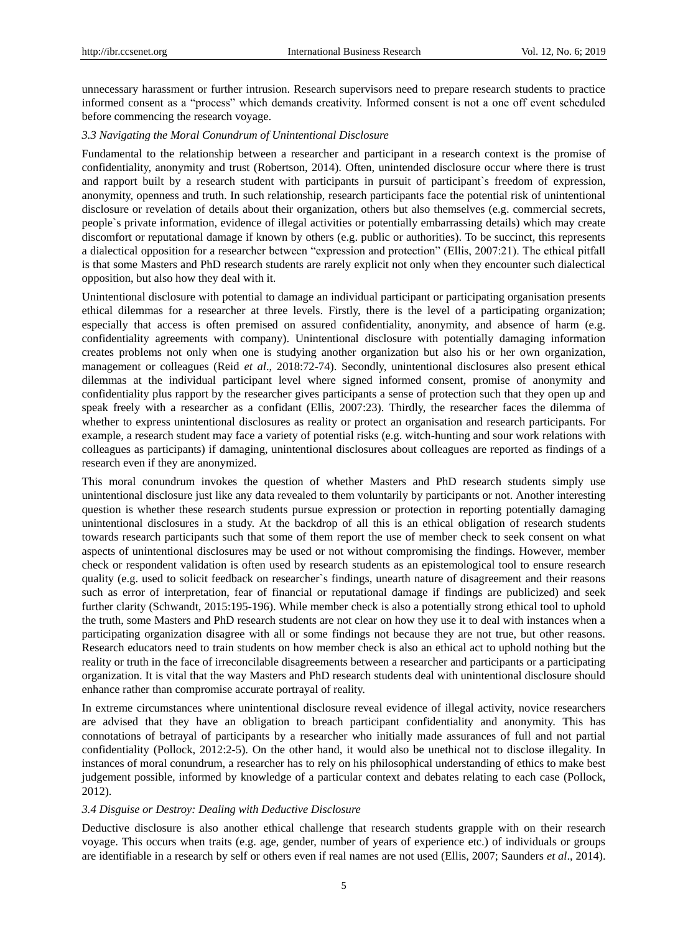unnecessary harassment or further intrusion. Research supervisors need to prepare research students to practice informed consent as a "process" which demands creativity. Informed consent is not a one off event scheduled before commencing the research voyage.

## *3.3 Navigating the Moral Conundrum of Unintentional Disclosure*

Fundamental to the relationship between a researcher and participant in a research context is the promise of confidentiality, anonymity and trust (Robertson, 2014). Often, unintended disclosure occur where there is trust and rapport built by a research student with participants in pursuit of participant`s freedom of expression, anonymity, openness and truth. In such relationship, research participants face the potential risk of unintentional disclosure or revelation of details about their organization, others but also themselves (e.g. commercial secrets, people`s private information, evidence of illegal activities or potentially embarrassing details) which may create discomfort or reputational damage if known by others (e.g. public or authorities). To be succinct, this represents a dialectical opposition for a researcher between "expression and protection" (Ellis, 2007:21). The ethical pitfall is that some Masters and PhD research students are rarely explicit not only when they encounter such dialectical opposition, but also how they deal with it.

Unintentional disclosure with potential to damage an individual participant or participating organisation presents ethical dilemmas for a researcher at three levels. Firstly, there is the level of a participating organization; especially that access is often premised on assured confidentiality, anonymity, and absence of harm (e.g. confidentiality agreements with company). Unintentional disclosure with potentially damaging information creates problems not only when one is studying another organization but also his or her own organization, management or colleagues (Reid *et al*., 2018:72-74). Secondly, unintentional disclosures also present ethical dilemmas at the individual participant level where signed informed consent, promise of anonymity and confidentiality plus rapport by the researcher gives participants a sense of protection such that they open up and speak freely with a researcher as a confidant (Ellis, 2007:23). Thirdly, the researcher faces the dilemma of whether to express unintentional disclosures as reality or protect an organisation and research participants. For example, a research student may face a variety of potential risks (e.g. witch-hunting and sour work relations with colleagues as participants) if damaging, unintentional disclosures about colleagues are reported as findings of a research even if they are anonymized.

This moral conundrum invokes the question of whether Masters and PhD research students simply use unintentional disclosure just like any data revealed to them voluntarily by participants or not. Another interesting question is whether these research students pursue expression or protection in reporting potentially damaging unintentional disclosures in a study. At the backdrop of all this is an ethical obligation of research students towards research participants such that some of them report the use of member check to seek consent on what aspects of unintentional disclosures may be used or not without compromising the findings. However, member check or respondent validation is often used by research students as an epistemological tool to ensure research quality (e.g. used to solicit feedback on researcher`s findings, unearth nature of disagreement and their reasons such as error of interpretation, fear of financial or reputational damage if findings are publicized) and seek further clarity (Schwandt, 2015:195-196). While member check is also a potentially strong ethical tool to uphold the truth, some Masters and PhD research students are not clear on how they use it to deal with instances when a participating organization disagree with all or some findings not because they are not true, but other reasons. Research educators need to train students on how member check is also an ethical act to uphold nothing but the reality or truth in the face of irreconcilable disagreements between a researcher and participants or a participating organization. It is vital that the way Masters and PhD research students deal with unintentional disclosure should enhance rather than compromise accurate portrayal of reality.

In extreme circumstances where unintentional disclosure reveal evidence of illegal activity, novice researchers are advised that they have an obligation to breach participant confidentiality and anonymity. This has connotations of betrayal of participants by a researcher who initially made assurances of full and not partial confidentiality (Pollock, 2012:2-5). On the other hand, it would also be unethical not to disclose illegality. In instances of moral conundrum, a researcher has to rely on his philosophical understanding of ethics to make best judgement possible, informed by knowledge of a particular context and debates relating to each case (Pollock, 2012).

#### *3.4 Disguise or Destroy: Dealing with Deductive Disclosure*

Deductive disclosure is also another ethical challenge that research students grapple with on their research voyage. This occurs when traits (e.g. age, gender, number of years of experience etc.) of individuals or groups are identifiable in a research by self or others even if real names are not used (Ellis, 2007; Saunders *et al*., 2014).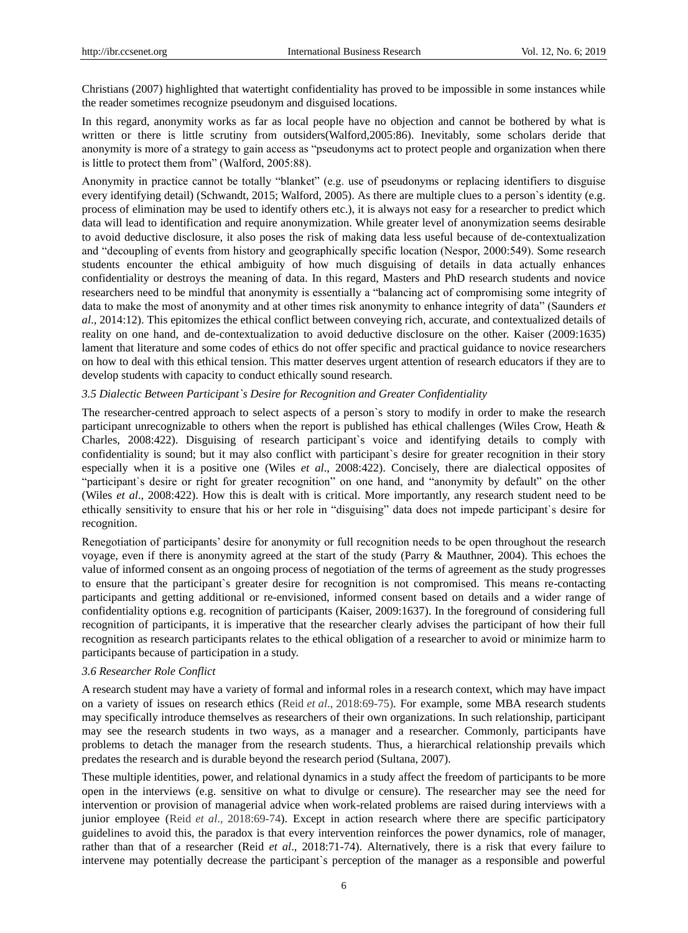Christians (2007) highlighted that watertight confidentiality has proved to be impossible in some instances while the reader sometimes recognize pseudonym and disguised locations.

In this regard, anonymity works as far as local people have no objection and cannot be bothered by what is written or there is little scrutiny from outsiders(Walford,2005:86). Inevitably, some scholars deride that anonymity is more of a strategy to gain access as "pseudonyms act to protect people and organization when there is little to protect them from" (Walford, 2005:88).

Anonymity in practice cannot be totally "blanket" (e.g. use of pseudonyms or replacing identifiers to disguise every identifying detail) (Schwandt, 2015; Walford, 2005). As there are multiple clues to a person`s identity (e.g. process of elimination may be used to identify others etc.), it is always not easy for a researcher to predict which data will lead to identification and require anonymization. While greater level of anonymization seems desirable to avoid deductive disclosure, it also poses the risk of making data less useful because of de-contextualization and "decoupling of events from history and geographically specific location (Nespor, 2000:549). Some research students encounter the ethical ambiguity of how much disguising of details in data actually enhances confidentiality or destroys the meaning of data. In this regard, Masters and PhD research students and novice researchers need to be mindful that anonymity is essentially a "balancing act of compromising some integrity of data to make the most of anonymity and at other times risk anonymity to enhance integrity of data" (Saunders *et al*., 2014:12). This epitomizes the ethical conflict between conveying rich, accurate, and contextualized details of reality on one hand, and de-contextualization to avoid deductive disclosure on the other. Kaiser (2009:1635) lament that literature and some codes of ethics do not offer specific and practical guidance to novice researchers on how to deal with this ethical tension. This matter deserves urgent attention of research educators if they are to develop students with capacity to conduct ethically sound research.

#### *3.5 Dialectic Between Participant`s Desire for Recognition and Greater Confidentiality*

The researcher-centred approach to select aspects of a person`s story to modify in order to make the research participant unrecognizable to others when the report is published has ethical challenges (Wiles Crow, Heath & Charles, 2008:422). Disguising of research participant`s voice and identifying details to comply with confidentiality is sound; but it may also conflict with participant`s desire for greater recognition in their story especially when it is a positive one (Wiles *et al*., 2008:422). Concisely, there are dialectical opposites of "participant`s desire or right for greater recognition" on one hand, and "anonymity by default" on the other (Wiles *et al*., 2008:422). How this is dealt with is critical. More importantly, any research student need to be ethically sensitivity to ensure that his or her role in "disguising" data does not impede participant`s desire for recognition.

Renegotiation of participants" desire for anonymity or full recognition needs to be open throughout the research voyage, even if there is anonymity agreed at the start of the study (Parry & Mauthner, 2004). This echoes the value of informed consent as an ongoing process of negotiation of the terms of agreement as the study progresses to ensure that the participant`s greater desire for recognition is not compromised. This means re-contacting participants and getting additional or re-envisioned, informed consent based on details and a wider range of confidentiality options e.g. recognition of participants (Kaiser, 2009:1637). In the foreground of considering full recognition of participants, it is imperative that the researcher clearly advises the participant of how their full recognition as research participants relates to the ethical obligation of a researcher to avoid or minimize harm to participants because of participation in a study.

## *3.6 Researcher Role Conflict*

A research student may have a variety of formal and informal roles in a research context, which may have impact on a variety of issues on research ethics (Reid *et al*., 2018:69-75). For example, some MBA research students may specifically introduce themselves as researchers of their own organizations. In such relationship, participant may see the research students in two ways, as a manager and a researcher. Commonly, participants have problems to detach the manager from the research students. Thus, a hierarchical relationship prevails which predates the research and is durable beyond the research period (Sultana, 2007).

These multiple identities, power, and relational dynamics in a study affect the freedom of participants to be more open in the interviews (e.g. sensitive on what to divulge or censure). The researcher may see the need for intervention or provision of managerial advice when work-related problems are raised during interviews with a junior employee (Reid *et al*., 2018:69-74). Except in action research where there are specific participatory guidelines to avoid this, the paradox is that every intervention reinforces the power dynamics, role of manager, rather than that of a researcher (Reid *et al*., 2018:71-74). Alternatively, there is a risk that every failure to intervene may potentially decrease the participant`s perception of the manager as a responsible and powerful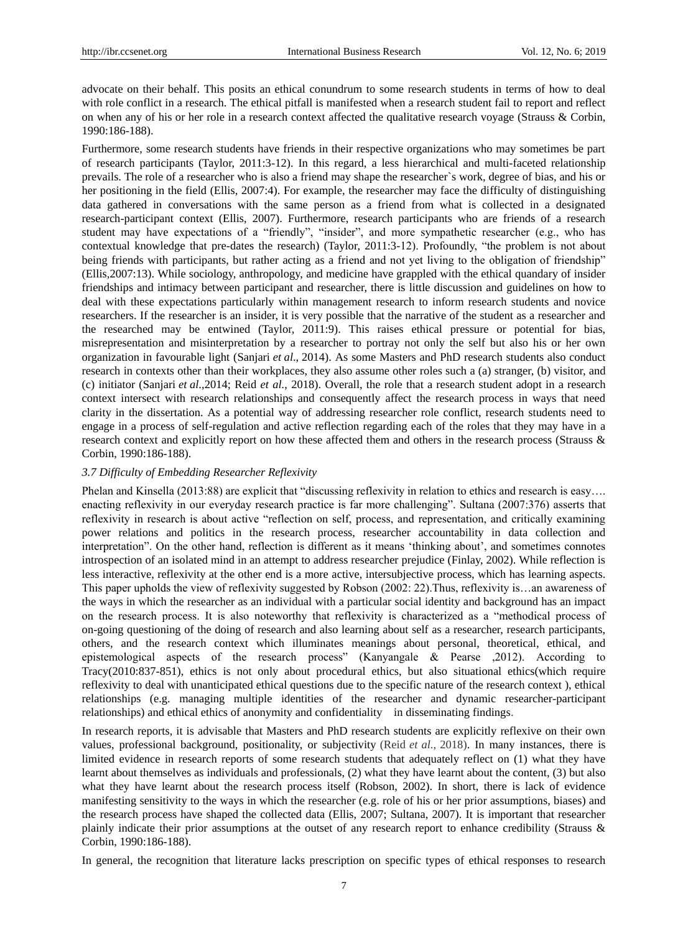advocate on their behalf. This posits an ethical conundrum to some research students in terms of how to deal with role conflict in a research. The ethical pitfall is manifested when a research student fail to report and reflect on when any of his or her role in a research context affected the qualitative research voyage (Strauss & Corbin, 1990:186-188).

Furthermore, some research students have friends in their respective organizations who may sometimes be part of research participants (Taylor, 2011:3-12). In this regard, a less hierarchical and multi-faceted relationship prevails. The role of a researcher who is also a friend may shape the researcher`s work, degree of bias, and his or her positioning in the field (Ellis, 2007:4). For example, the researcher may face the difficulty of distinguishing data gathered in conversations with the same person as a friend from what is collected in a designated research-participant context (Ellis, 2007). Furthermore, research participants who are friends of a research student may have expectations of a "friendly", "insider", and more sympathetic researcher (e.g., who has contextual knowledge that pre-dates the research) (Taylor, 2011:3-12). Profoundly, "the problem is not about being friends with participants, but rather acting as a friend and not yet living to the obligation of friendship" (Ellis,2007:13). While sociology, anthropology, and medicine have grappled with the ethical quandary of insider friendships and intimacy between participant and researcher, there is little discussion and guidelines on how to deal with these expectations particularly within management research to inform research students and novice researchers. If the researcher is an insider, it is very possible that the narrative of the student as a researcher and the researched may be entwined (Taylor, 2011:9). This raises ethical pressure or potential for bias, misrepresentation and misinterpretation by a researcher to portray not only the self but also his or her own organization in favourable light [\(Sanjari](https://www.ncbi.nlm.nih.gov/pubmed/?term=Sanjari%20M%5BAuthor%5D&cauthor=true&cauthor_uid=25512833) *et al*., 2014). As some Masters and PhD research students also conduct research in contexts other than their workplaces, they also assume other roles such a (a) stranger, (b) visitor, and (c) initiator [\(Sanjari](https://www.ncbi.nlm.nih.gov/pubmed/?term=Sanjari%20M%5BAuthor%5D&cauthor=true&cauthor_uid=25512833) *et al*.,2014; Reid *et al.*, 2018). Overall, the role that a research student adopt in a research context intersect with research relationships and consequently affect the research process in ways that need clarity in the dissertation. As a potential way of addressing researcher role conflict, research students need to engage in a process of self-regulation and active reflection regarding each of the roles that they may have in a research context and explicitly report on how these affected them and others in the research process (Strauss & Corbin, 1990:186-188).

## *3.7 Difficulty of Embedding Researcher Reflexivity*

Phelan and Kinsella (2013:88) are explicit that "discussing reflexivity in relation to ethics and research is easy…. enacting reflexivity in our everyday research practice is far more challenging". Sultana (2007:376) asserts that reflexivity in research is about active "reflection on self, process, and representation, and critically examining power relations and politics in the research process, researcher accountability in data collection and interpretation". On the other hand, reflection is different as it means 'thinking about', and sometimes connotes introspection of an isolated mind in an attempt to address researcher prejudice (Finlay, 2002). While reflection is less interactive, reflexivity at the other end is a more active, intersubjective process, which has learning aspects. This paper upholds the view of reflexivity suggested by Robson (2002: 22).Thus, reflexivity is…an awareness of the ways in which the researcher as an individual with a particular social identity and background has an impact on the research process. It is also noteworthy that reflexivity is characterized as a "methodical process of on-going questioning of the doing of research and also learning about self as a researcher, research participants, others, and the research context which illuminates meanings about personal, theoretical, ethical, and epistemological aspects of the research process" (Kanyangale & Pearse ,2012). According to Tracy(2010:837-851), ethics is not only about procedural ethics, but also situational ethics(which require reflexivity to deal with unanticipated ethical questions due to the specific nature of the research context ), ethical relationships (e.g. managing multiple identities of the researcher and dynamic researcher-participant relationships) and ethical ethics of anonymity and confidentiality in disseminating findings.

In research reports, it is advisable that Masters and PhD research students are explicitly reflexive on their own values, professional background, positionality, or subjectivity (Reid *et al*., 2018). In many instances, there is limited evidence in research reports of some research students that adequately reflect on (1) what they have learnt about themselves as individuals and professionals, (2) what they have learnt about the content, (3) but also what they have learnt about the research process itself (Robson, 2002). In short, there is lack of evidence manifesting sensitivity to the ways in which the researcher (e.g. role of his or her prior assumptions, biases) and the research process have shaped the collected data (Ellis, 2007; Sultana, 2007). It is important that researcher plainly indicate their prior assumptions at the outset of any research report to enhance credibility (Strauss & Corbin, 1990:186-188).

In general, the recognition that literature lacks prescription on specific types of ethical responses to research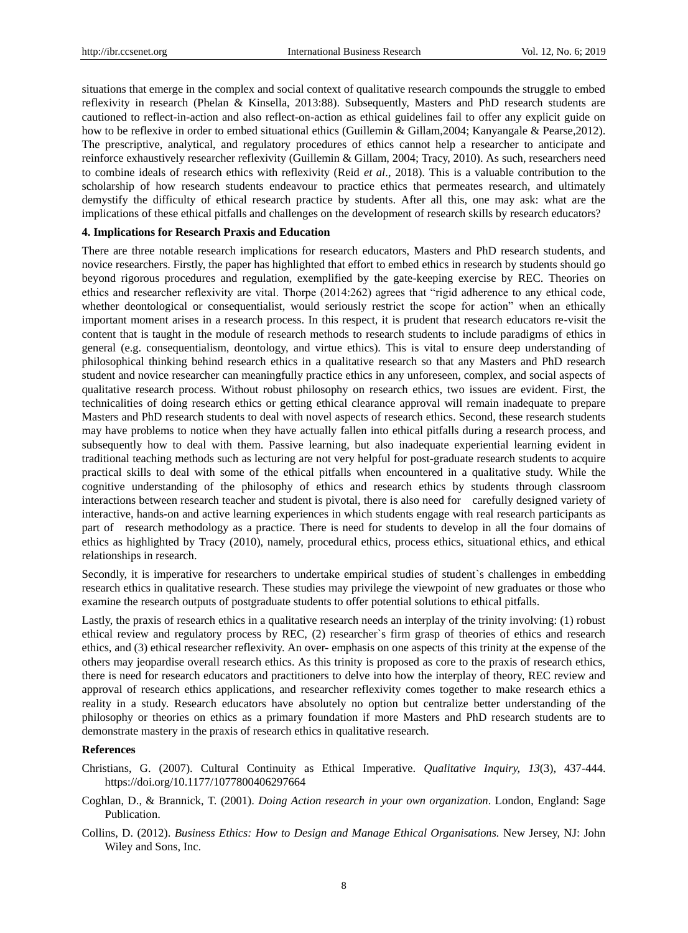situations that emerge in the complex and social context of qualitative research compounds the struggle to embed reflexivity in research (Phelan & Kinsella, 2013:88). Subsequently, Masters and PhD research students are cautioned to reflect-in-action and also reflect-on-action as ethical guidelines fail to offer any explicit guide on how to be reflexive in order to embed situational ethics (Guillemin & Gillam,2004; Kanyangale & Pearse,2012). The prescriptive, analytical, and regulatory procedures of ethics cannot help a researcher to anticipate and reinforce exhaustively researcher reflexivity (Guillemin & Gillam, 2004; Tracy, 2010). As such, researchers need to combine ideals of research ethics with reflexivity (Reid *et al*., 2018). This is a valuable contribution to the scholarship of how research students endeavour to practice ethics that permeates research, and ultimately demystify the difficulty of ethical research practice by students. After all this, one may ask: what are the implications of these ethical pitfalls and challenges on the development of research skills by research educators?

#### **4. Implications for Research Praxis and Education**

There are three notable research implications for research educators, Masters and PhD research students, and novice researchers. Firstly, the paper has highlighted that effort to embed ethics in research by students should go beyond rigorous procedures and regulation, exemplified by the gate-keeping exercise by REC. Theories on ethics and researcher reflexivity are vital. Thorpe (2014:262) agrees that "rigid adherence to any ethical code, whether deontological or consequentialist, would seriously restrict the scope for action" when an ethically important moment arises in a research process. In this respect, it is prudent that research educators re-visit the content that is taught in the module of research methods to research students to include paradigms of ethics in general (e.g. consequentialism, deontology, and virtue ethics). This is vital to ensure deep understanding of philosophical thinking behind research ethics in a qualitative research so that any Masters and PhD research student and novice researcher can meaningfully practice ethics in any unforeseen, complex, and social aspects of qualitative research process. Without robust philosophy on research ethics, two issues are evident. First, the technicalities of doing research ethics or getting ethical clearance approval will remain inadequate to prepare Masters and PhD research students to deal with novel aspects of research ethics. Second, these research students may have problems to notice when they have actually fallen into ethical pitfalls during a research process, and subsequently how to deal with them. Passive learning, but also inadequate experiential learning evident in traditional teaching methods such as lecturing are not very helpful for post-graduate research students to acquire practical skills to deal with some of the ethical pitfalls when encountered in a qualitative study. While the cognitive understanding of the philosophy of ethics and research ethics by students through classroom interactions between research teacher and student is pivotal, there is also need for carefully designed variety of interactive, hands-on and active learning experiences in which students engage with real research participants as part of research methodology as a practice. There is need for students to develop in all the four domains of ethics as highlighted by Tracy (2010), namely, procedural ethics, process ethics, situational ethics, and ethical relationships in research.

Secondly, it is imperative for researchers to undertake empirical studies of student`s challenges in embedding research ethics in qualitative research. These studies may privilege the viewpoint of new graduates or those who examine the research outputs of postgraduate students to offer potential solutions to ethical pitfalls.

Lastly, the praxis of research ethics in a qualitative research needs an interplay of the trinity involving: (1) robust ethical review and regulatory process by REC, (2) researcher`s firm grasp of theories of ethics and research ethics, and (3) ethical researcher reflexivity. An over- emphasis on one aspects of this trinity at the expense of the others may jeopardise overall research ethics. As this trinity is proposed as core to the praxis of research ethics, there is need for research educators and practitioners to delve into how the interplay of theory, REC review and approval of research ethics applications, and researcher reflexivity comes together to make research ethics a reality in a study. Research educators have absolutely no option but centralize better understanding of the philosophy or theories on ethics as a primary foundation if more Masters and PhD research students are to demonstrate mastery in the praxis of research ethics in qualitative research.

## **References**

- Christians, G. (2007). Cultural Continuity as Ethical Imperative. *Qualitative Inquiry, 13*(3), 437-444. https://doi.org/10.1177/1077800406297664
- Coghlan, D., & Brannick, T. (2001). *Doing Action research in your own organization*. London, England: Sage Publication.
- Collins, D. (2012). *Business Ethics: How to Design and Manage Ethical Organisations.* New Jersey, NJ: John Wiley and Sons, Inc.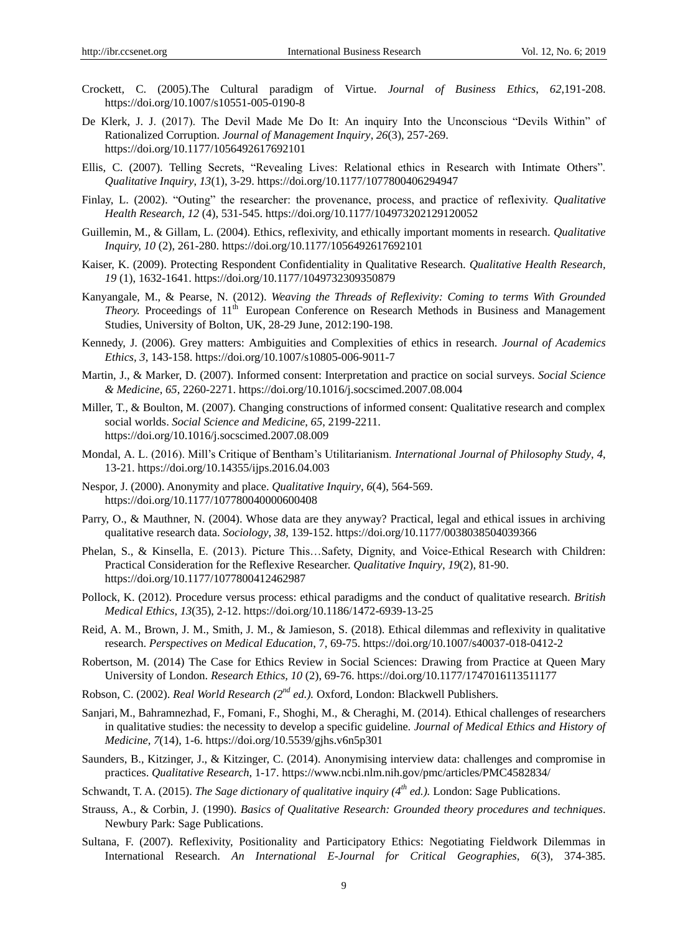- Crockett, C. (2005).The Cultural paradigm of Virtue. *Journal of Business Ethics*, *62*,191-208. https://doi.org/10.1007/s10551-005-0190-8
- De Klerk, J. J. (2017). The Devil Made Me Do It: An inquiry Into the Unconscious "Devils Within" of Rationalized Corruption. *Journal of Management Inquiry*, *26*(3), 257-269. https://doi.org/10.1177/1056492617692101
- Ellis, C. (2007). Telling Secrets, "Revealing Lives: Relational ethics in Research with Intimate Others". *Qualitative Inquiry*, *13*(1), 3-29. https://doi.org/10.1177/1077800406294947
- Finlay, L. (2002). "Outing" the researcher: the provenance, process, and practice of reflexivity. *Qualitative Health Research, 12* (4), 531-545. https://doi.org/10.1177/104973202129120052
- Guillemin, M., & Gillam, L. (2004). Ethics, reflexivity, and ethically important moments in research. *Qualitative Inquiry, 10* (2), 261-280. https://doi.org/10.1177/1056492617692101
- Kaiser, K. (2009). Protecting Respondent Confidentiality in Qualitative Research. *Qualitative Health Research, 19* (1), 1632-1641. https://doi.org/10.1177/1049732309350879
- Kanyangale, M., & Pearse, N. (2012). *Weaving the Threads of Reflexivity: Coming to terms With Grounded Theory.* Proceedings of 11<sup>th</sup> European Conference on Research Methods in Business and Management Studies, University of Bolton, UK, 28-29 June, 2012:190-198.
- Kennedy, J. (2006). Grey matters: Ambiguities and Complexities of ethics in research. *Journal of Academics Ethics, 3*, 143-158. https://doi.org/10.1007/s10805-006-9011-7
- Martin, J., & Marker, D. (2007). Informed consent: Interpretation and practice on social surveys. *Social Science & Medicine*, *65*, 2260-2271. https://doi.org/10.1016/j.socscimed.2007.08.004
- Miller, T., & Boulton, M. (2007). Changing constructions of informed consent: Qualitative research and complex social worlds. *Social Science and Medicine*, *65*, 2199-2211. https://doi.org/10.1016/j.socscimed.2007.08.009
- Mondal, A. L. (2016). Mill"s Critique of Bentham"s Utilitarianism. *International Journal of Philosophy Study*, *4*, 13-21. https://doi.org/10.14355/ijps.2016.04.003
- Nespor, J. (2000). Anonymity and place. *Qualitative Inquiry*, *6*(4), 564-569. https://doi.org/10.1177/107780040000600408
- Parry, O., & Mauthner, N. (2004). Whose data are they anyway? Practical, legal and ethical issues in archiving qualitative research data. *Sociology*, *38*, 139-152. https://doi.org/10.1177/0038038504039366
- Phelan, S., & Kinsella, E. (2013). Picture This…Safety, Dignity, and Voice-Ethical Research with Children: Practical Consideration for the Reflexive Researcher. *Qualitative Inquiry*, *19*(2), 81-90. https://doi.org/10.1177/1077800412462987
- Pollock, K. (2012). Procedure versus process: ethical paradigms and the conduct of qualitative research. *British Medical Ethics*, *13*(35), 2-12. https://doi.org/10.1186/1472-6939-13-25
- Reid, A. M., Brown, J. M., Smith, J. M., & Jamieson, S. (2018). Ethical dilemmas and reflexivity in qualitative research. *Perspectives on Medical Education*, 7, 69-75[. https://doi.org/10.1007/s40037-018-0412-2](https://doi.org/10.1007/s40037-018-0412-2)
- Robertson, M. (2014) The Case for Ethics Review in Social Sciences: Drawing from Practice at Queen Mary University of London. *Research Ethics, 10* (2), 69-76. https://doi.org/10.1177/1747016113511177
- Robson, C. (2002). *Real World Research (2nd ed.).* Oxford, London: Blackwell Publishers.
- [Sanjari,](https://www.ncbi.nlm.nih.gov/pubmed/?term=Sanjari%20M%5BAuthor%5D&cauthor=true&cauthor_uid=25512833) M., [Bahramnezhad,](https://www.ncbi.nlm.nih.gov/pubmed/?term=Bahramnezhad%20F%5BAuthor%5D&cauthor=true&cauthor_uid=25512833) F., [Fomani,](https://www.ncbi.nlm.nih.gov/pubmed/?term=Fomani%20FK%5BAuthor%5D&cauthor=true&cauthor_uid=25512833) F., [Shoghi,](https://www.ncbi.nlm.nih.gov/pubmed/?term=Shoghi%20M%5BAuthor%5D&cauthor=true&cauthor_uid=25512833) M., & Cheraghi, M. (2014). Ethical challenges of researchers in qualitative studies: the necessity to develop a specific guideline. *Journal of Medical Ethics and History of Medicine*, *7*(14), 1-6. https://doi.org/10.5539/gjhs.v6n5p301
- Saunders, B., Kitzinger, J., & Kitzinger, C. (2014). Anonymising interview data: challenges and compromise in practices. *Qualitative Research*, 1-17. https://www.ncbi.nlm.nih.gov/pmc/articles/PMC4582834/
- Schwandt, T. A. (2015). *The Sage dictionary of qualitative inquiry (4th ed.).* London: Sage Publications.
- Strauss, A., & Corbin, J. (1990). *Basics of Qualitative Research: Grounded theory procedures and techniques*. Newbury Park: Sage Publications.
- Sultana, F. (2007). Reflexivity, Positionality and Participatory Ethics: Negotiating Fieldwork Dilemmas in International Research. *An International E-Journal for Critical Geographies*, *6*(3), 374-385.